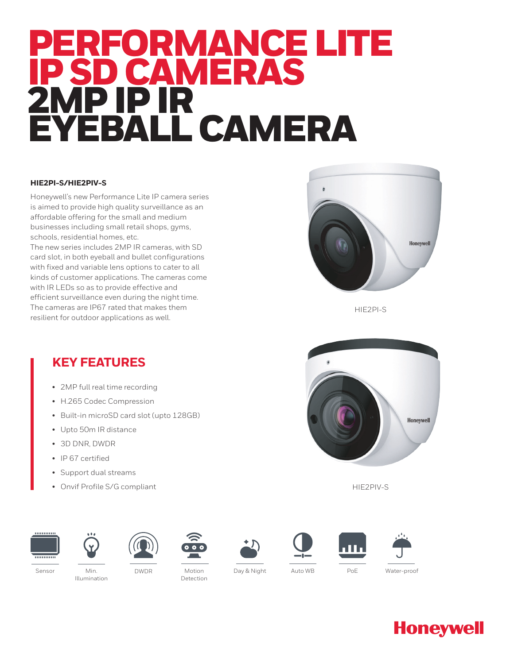# PERFORMANCE LITE IP SD CAMERAS 2MP IP IR EYEBALL CAMERA

### **HIE2PI-S/HIE2PIV-S**

Honeywell's new Performance Lite IP camera series is aimed to provide high quality surveillance as an affordable offering for the small and medium businesses including small retail shops, gyms, schools, residential homes, etc.

The new series includes 2MP IR cameras, with SD card slot, in both eyeball and bullet configurations with fixed and variable lens options to cater to all kinds of customer applications. The cameras come with IR LEDs so as to provide effective and efficient surveillance even during the night time. The cameras are IP67 rated that makes them resilient for outdoor applications as well.



HIE2PI-S

### **KEY FEATURES**

- 2MP full real time recording
- H.265 Codec Compression
- Built-in microSD card slot (upto 128GB)
- Upto 50m IR distance
- 3D DNR, DWDR
- IP 67 certified
- Support dual streams
- Onvif Profile S/G compliant







Illumination









HIE2PIV-S



**Honeywell** 





Motion Day & Night Detection

Sensor Min. Auto WB PoE

DWDR Water-proof

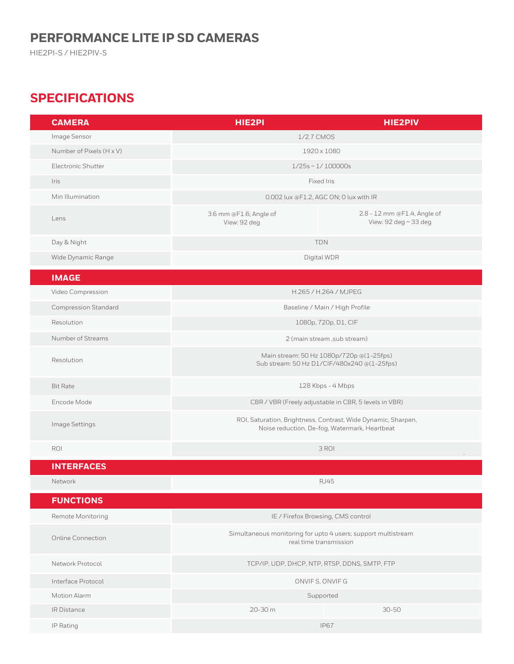# **PERFORMANCE LITE IP SD CAMERAS**

HIE2PI-S / HIE2PIV-S

# **SPECIFICATIONS**

| <b>CAMERA</b>               | HIE2PI                                                                                                         | <b>HIE2PIV</b>                                       |
|-----------------------------|----------------------------------------------------------------------------------------------------------------|------------------------------------------------------|
| Image Sensor                | 1/2.7 CMOS                                                                                                     |                                                      |
| Number of Pixels (H x V)    | 1920 x 1080                                                                                                    |                                                      |
| Electronic Shutter          | $1/25s \sim 1/100000s$                                                                                         |                                                      |
| Iris                        | Fixed Iris                                                                                                     |                                                      |
| Min Illumination            | 0.002 lux @F1.2, AGC ON; 0 lux with IR                                                                         |                                                      |
| Lens                        | 3.6 mm @F1.6, Angle of<br>View: 92 deg                                                                         | 2.8 - 12 mm @F1.4, Angle of<br>View: 92 deg ~ 33 deg |
| Day & Night                 | <b>TDN</b>                                                                                                     |                                                      |
| Wide Dynamic Range          | Digital WDR                                                                                                    |                                                      |
| <b>IMAGE</b>                |                                                                                                                |                                                      |
| Video Compression           | H.265 / H.264 / MJPEG                                                                                          |                                                      |
| <b>Compression Standard</b> | Baseline / Main / High Profile                                                                                 |                                                      |
| Resolution                  | 1080p, 720p, D1, CIF                                                                                           |                                                      |
| Number of Streams           | 2 (main stream, sub stream)                                                                                    |                                                      |
| Resolution                  | Main stream: 50 Hz 1080p/720p @(1-25fps)<br>Sub stream: 50 Hz D1/CIF/480x240 @(1-25fps)                        |                                                      |
| <b>Bit Rate</b>             | 128 Kbps - 4 Mbps                                                                                              |                                                      |
| Encode Mode                 | CBR / VBR (Freely adjustable in CBR, 5 levels in VBR)                                                          |                                                      |
| Image Settings              | ROI, Saturation, Brightness, Contrast, Wide Dynamic, Sharpen,<br>Noise reduction, De-fog, Watermark, Heartbeat |                                                      |
| ROI                         | 3 ROI                                                                                                          |                                                      |
| <b>INTERFACES</b>           |                                                                                                                |                                                      |
| Network                     | <b>RJ45</b>                                                                                                    |                                                      |
| <b>FUNCTIONS</b>            |                                                                                                                |                                                      |
| Remote Monitoring           | IE / Firefox Browsing, CMS control                                                                             |                                                      |
| Online Connection           | Simultaneous monitoring for upto 4 users; support multistream<br>real time transmission                        |                                                      |
| Network Protocol            | TCP/IP, UDP, DHCP, NTP, RTSP, DDNS, SMTP, FTP                                                                  |                                                      |
| Interface Protocol          | ONVIFS, ONVIFG                                                                                                 |                                                      |
| Motion Alarm                | Supported                                                                                                      |                                                      |
| IR Distance                 | 20-30 m                                                                                                        | $30 - 50$                                            |
| IP Rating                   |                                                                                                                | <b>IP67</b>                                          |